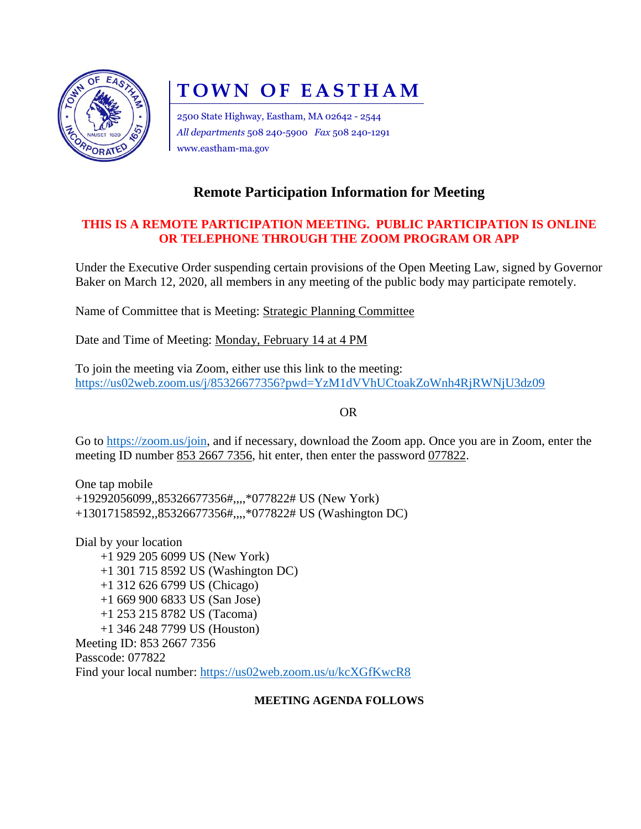

# **TOWN OF EASTHAM**

2500 State Highway, Eastham, MA 02642 - 2544 *All departments* 508 240-5900 *Fax* 508 240-1291 www.eastham-ma.gov

# **Remote Participation Information for Meeting**

## **THIS IS A REMOTE PARTICIPATION MEETING. PUBLIC PARTICIPATION IS ONLINE OR TELEPHONE THROUGH THE ZOOM PROGRAM OR APP**

Under the Executive Order suspending certain provisions of the Open Meeting Law, signed by Governor Baker on March 12, 2020, all members in any meeting of the public body may participate remotely.

Name of Committee that is Meeting: Strategic Planning Committee

Date and Time of Meeting: Monday, February 14 at 4 PM

To join the meeting via Zoom, either use this link to the meeting: <https://us02web.zoom.us/j/85326677356?pwd=YzM1dVVhUCtoakZoWnh4RjRWNjU3dz09>

OR

Go to [https://zoom.us/join,](https://zoom.us/join) and if necessary, download the Zoom app. Once you are in Zoom, enter the meeting ID number 853 2667 7356, hit enter, then enter the password 077822.

One tap mobile +19292056099,,85326677356#,,,,\*077822# US (New York) +13017158592,,85326677356#,,,,\*077822# US (Washington DC)

Dial by your location +1 929 205 6099 US (New York) +1 301 715 8592 US (Washington DC) +1 312 626 6799 US (Chicago) +1 669 900 6833 US (San Jose) +1 253 215 8782 US (Tacoma) +1 346 248 7799 US (Houston) Meeting ID: 853 2667 7356 Passcode: 077822 Find your local number:<https://us02web.zoom.us/u/kcXGfKwcR8>

### **MEETING AGENDA FOLLOWS**